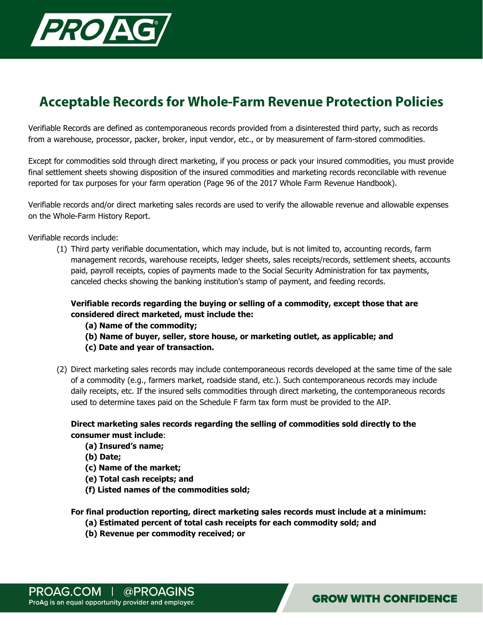

## **Acceptable Records for Whole-Farm Revenue Protection Policies**

Verifiable Records are defined as contemporaneous records provided from a disinterested third party, such as records from a warehouse, processor, packer, broker, input vendor, etc., or by measurement of farm-stored commodities.

Except for commodities sold through direct marketing, if you process or pack your insured commodities, you must provide final settlement sheets showing disposition of the insured commodities and marketing records reconcilable with revenue reported for tax purposes for your farm operation (Page 96 of the 2017 Whole Farm Revenue Handbook).

Verifiable records and/or direct marketing sales records are used to verify the allowable revenue and allowable expenses on the Whole-Farm History Report.

Verifiable records include:

(1) Third party verifiable documentation, which may include, but is not limited to, accounting records, farm management records, warehouse receipts, ledger sheets, sales receipts/records, settlement sheets, accounts paid, payroll receipts, copies of payments made to the Social Security Administration for tax payments, canceled checks showing the banking institution's stamp of payment, and feeding records.

## **Verifiable records regarding the buying or selling of a commodity, except those that are considered direct marketed, must include the:**

- **(a) Name of the commodity;**
- **(b) Name of buyer, seller, store house, or marketing outlet, as applicable; and**
- **(c) Date and year of transaction.**
- (2) Direct marketing sales records may include contemporaneous records developed at the same time of the sale of a commodity (e.g., farmers market, roadside stand, etc.). Such contemporaneous records may include daily receipts, etc. If the insured sells commodities through direct marketing, the contemporaneous records used to determine taxes paid on the Schedule F farm tax form must be provided to the AIP.

## **Direct marketing sales records regarding the selling of commodities sold directly to the consumer must include**:

- **(a) Insured's name;**
- **(b) Date;**
- **(c) Name of the market;**
- **(e) Total cash receipts; and**
- **(f) Listed names of the commodities sold;**

**For final production reporting, direct marketing sales records must include at a minimum:** 

- **(a) Estimated percent of total cash receipts for each commodity sold; and**
- **(b) Revenue per commodity received; or**

**GROW WITH CONFIDENCE**